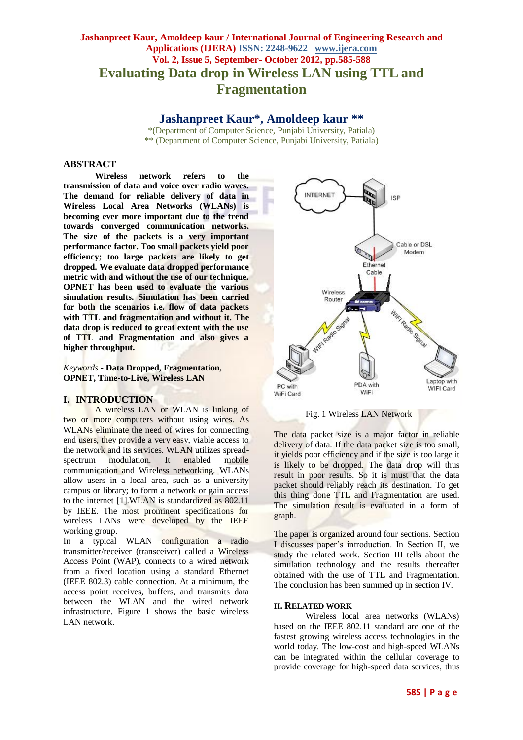# **Jashanpreet Kaur, Amoldeep kaur / International Journal of Engineering Research and Applications (IJERA) ISSN: 2248-9622 www.ijera.com Vol. 2, Issue 5, September- October 2012, pp.585-588 Evaluating Data drop in Wireless LAN using TTL and Fragmentation**

# **Jashanpreet Kaur\*, Amoldeep kaur \*\***

\*(Department of Computer Science, Punjabi University, Patiala) \*\* (Department of Computer Science, Punjabi University, Patiala)

#### **ABSTRACT**

**Wireless network refers to the transmission of data and voice over radio waves. The demand for reliable delivery of data in Wireless Local Area Networks (WLANs) is becoming ever more important due to the trend towards converged communication networks. The size of the packets is a very important performance factor. Too small packets yield poor efficiency; too large packets are likely to get dropped. We evaluate data dropped performance metric with and without the use of our technique. OPNET has been used to evaluate the various simulation results. Simulation has been carried for both the scenarios i.e. flow of data packets with TTL and fragmentation and without it. The data drop is reduced to great extent with the use of TTL and Fragmentation and also gives a higher throughput.**

*Keywords* **- Data Dropped, Fragmentation, OPNET, Time-to-Live, Wireless LAN**

#### **I. INTRODUCTION**

A wireless LAN or WLAN is linking of two or more computers without using wires. As WLANs eliminate the need of wires for connecting end users, they provide a very easy, viable access to the network and its services. WLAN utilizes spread-<br>spectrum modulation. It enabled mobile modulation. It enabled mobile communication and Wireless networking. WLANs allow users in a local area, such as a university campus or library; to form a network or gain access to the internet [1].WLAN is standardized as 802.11 by IEEE. The most prominent specifications for wireless LANs were developed by the IEEE working group.

In a typical WLAN configuration a radio transmitter/receiver (transceiver) called a Wireless Access Point (WAP), connects to a wired network from a fixed location using a standard Ethernet (IEEE 802.3) cable connection. At a minimum, the access point receives, buffers, and transmits data between the WLAN and the wired network infrastructure. Figure 1 shows the basic wireless LAN network.



Fig. 1 Wireless LAN Network

The data packet size is a major factor in reliable delivery of data. If the data packet size is too small, it yields poor efficiency and if the size is too large it is likely to be dropped. The data drop will thus result in poor results. So it is must that the data packet should reliably reach its destination. To get this thing done TTL and Fragmentation are used. The simulation result is evaluated in a form of graph.

The paper is organized around four sections. Section I discusses paper's introduction. In Section II, we study the related work. Section III tells about the simulation technology and the results thereafter obtained with the use of TTL and Fragmentation. The conclusion has been summed up in section IV.

#### **II. RELATED WORK**

Wireless local area networks (WLANs) based on the IEEE 802.11 standard are one of the fastest growing wireless access technologies in the world today. The low-cost and high-speed WLANs can be integrated within the cellular coverage to provide coverage for high-speed data services, thus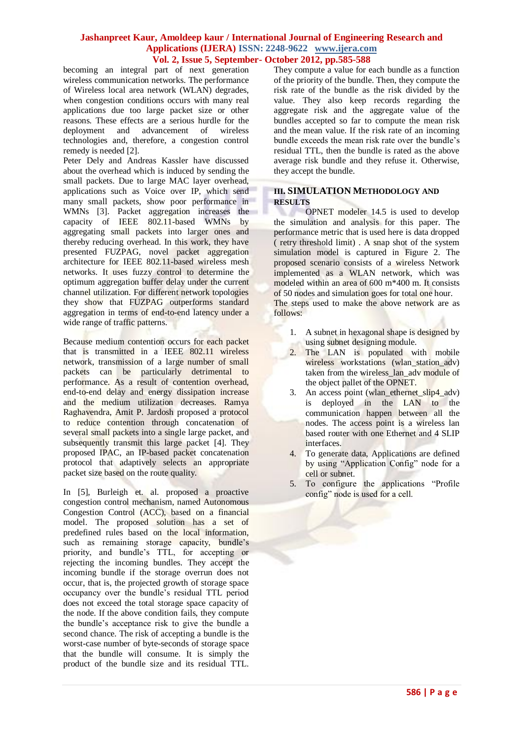#### **Jashanpreet Kaur, Amoldeep kaur / International Journal of Engineering Research and Applications (IJERA) ISSN: 2248-9622 www.ijera.com Vol. 2, Issue 5, September- October 2012, pp.585-588**

becoming an integral part of next generation wireless communication networks. The performance of Wireless local area network (WLAN) degrades, when congestion conditions occurs with many real applications due too large packet size or other reasons. These effects are a serious hurdle for the deployment and advancement of wireless technologies and, therefore, a congestion control remedy is needed [2].

Peter Dely and Andreas Kassler have discussed about the overhead which is induced by sending the small packets. Due to large MAC layer overhead, applications such as Voice over IP, which send many small packets, show poor performance in WMNs [3]. Packet aggregation increases the capacity of IEEE 802.11-based WMNs by aggregating small packets into larger ones and thereby reducing overhead. In this work, they have presented FUZPAG, novel packet aggregation architecture for IEEE 802.11-based wireless mesh networks. It uses fuzzy control to determine the optimum aggregation buffer delay under the current channel utilization. For different network topologies they show that FUZPAG outperforms standard aggregation in terms of end-to-end latency under a wide range of traffic patterns.

Because medium contention occurs for each packet that is transmitted in a IEEE 802.11 wireless network, transmission of a large number of small packets can be particularly detrimental to performance. As a result of contention overhead, end-to-end delay and energy dissipation increase and the medium utilization decreases. Ramya Raghavendra, Amit P. Jardosh proposed a protocol to reduce contention through concatenation of several small packets into a single large packet, and subsequently transmit this large packet [4]. They proposed IPAC, an IP-based packet concatenation protocol that adaptively selects an appropriate packet size based on the route quality.

In [5], Burleigh et. al. proposed a proactive congestion control mechanism, named Autonomous Congestion Control (ACC), based on a financial model. The proposed solution has a set of predefined rules based on the local information, such as remaining storage capacity, bundle's priority, and bundle's TTL, for accepting or rejecting the incoming bundles. They accept the incoming bundle if the storage overrun does not occur, that is, the projected growth of storage space occupancy over the bundle's residual TTL period does not exceed the total storage space capacity of the node. If the above condition fails, they compute the bundle's acceptance risk to give the bundle a second chance. The risk of accepting a bundle is the worst-case number of byte-seconds of storage space that the bundle will consume. It is simply the product of the bundle size and its residual TTL.

They compute a value for each bundle as a function of the priority of the bundle. Then, they compute the risk rate of the bundle as the risk divided by the value. They also keep records regarding the aggregate risk and the aggregate value of the bundles accepted so far to compute the mean risk and the mean value. If the risk rate of an incoming bundle exceeds the mean risk rate over the bundle's residual TTL, then the bundle is rated as the above average risk bundle and they refuse it. Otherwise, they accept the bundle.

#### **III. SIMULATION METHODOLOGY AND RESULTS**

OPNET modeler 14.5 is used to develop the simulation and analysis for this paper. The performance metric that is used here is data dropped ( retry threshold limit) . A snap shot of the system simulation model is captured in Figure 2. The proposed scenario consists of a wireless Network implemented as a WLAN network, which was modeled within an area of 600 m\*400 m. It consists of 50 nodes and simulation goes for total one hour. The steps used to make the above network are as follows:

- 1. A subnet in hexagonal shape is designed by using subnet designing module.
- 2. The LAN is populated with mobile wireless workstations (wlan station adv) taken from the wireless lan adv module of the object pallet of the OPNET.
- 3. An access point (wlan ethernet slip4 adv) is deployed in the LAN to the communication happen between all the nodes. The access point is a wireless lan based router with one Ethernet and 4 SLIP interfaces.
- 4. To generate data, Applications are defined by using "Application Config" node for a cell or subnet.
- 5. To configure the applications "Profile config" node is used for a cell.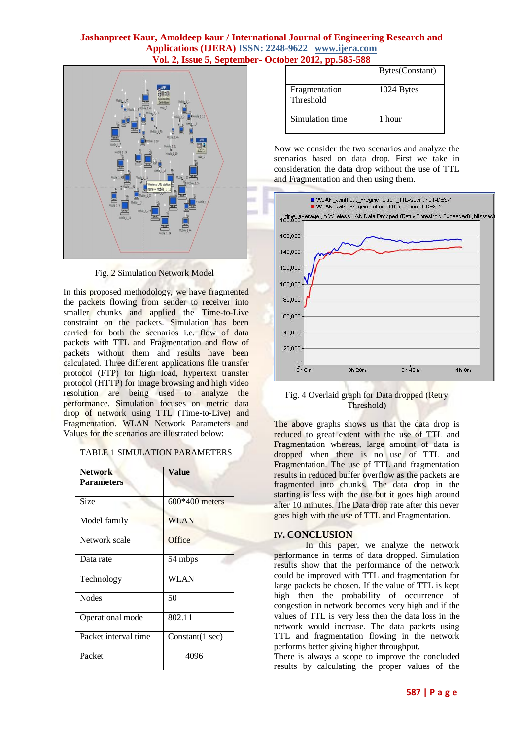### **Jashanpreet Kaur, Amoldeep kaur / International Journal of Engineering Research and Applications (IJERA) ISSN: 2248-9622 www.ijera.com Vol. 2, Issue 5, September- October 2012, pp.585-588**



Fig. 2 Simulation Network Model

In this proposed methodology, we have fragmented the packets flowing from sender to receiver into smaller chunks and applied the Time-to-Live constraint on the packets. Simulation has been carried for both the scenarios i.e. flow of data packets with TTL and Fragmentation and flow of packets without them and results have been calculated. Three different applications file transfer protocol (FTP) for high load, hypertext transfer protocol (HTTP) for image browsing and high video resolution are being used to analyze the performance. Simulation focuses on metric data drop of network using TTL (Time-to-Live) and Fragmentation. WLAN Network Parameters and Values for the scenarios are illustrated below:

| <b>Network</b><br><b>Parameters</b> | Value            |
|-------------------------------------|------------------|
| Size                                | $600*400$ meters |
| Model family                        | <b>WLAN</b>      |
| Network scale                       | Office           |
| Data rate                           | 54 mbps          |
| Technology                          | WLAN             |
| <b>Nodes</b>                        | 50               |
| Operational mode                    | 802.11           |
| Packet interval time                | Constant(1 sec)  |
| Packet                              | 4096             |

|                            | Bytes(Constant) |
|----------------------------|-----------------|
| Fragmentation<br>Threshold | 1024 Bytes      |
| Simulation time            | 1 hour          |

Now we consider the two scenarios and analyze the scenarios based on data drop. First we take in consideration the data drop without the use of TTL and Fragmentation and then using them.



Fig. 4 Overlaid graph for Data dropped (Retry Threshold)

The above graphs shows us that the data drop is reduced to great extent with the use of TTL and Fragmentation whereas, large amount of data is dropped when there is no use of TTL and Fragmentation. The use of TTL and fragmentation results in reduced buffer overflow as the packets are fragmented into chunks. The data drop in the starting is less with the use but it goes high around after 10 minutes. The Data drop rate after this never goes high with the use of TTL and Fragmentation.

## **IV. CONCLUSION**

In this paper, we analyze the network performance in terms of data dropped. Simulation results show that the performance of the network could be improved with TTL and fragmentation for large packets be chosen. If the value of TTL is kept high then the probability of occurrence of congestion in network becomes very high and if the values of TTL is very less then the data loss in the network would increase. The data packets using TTL and fragmentation flowing in the network performs better giving higher throughput.

There is always a scope to improve the concluded results by calculating the proper values of the